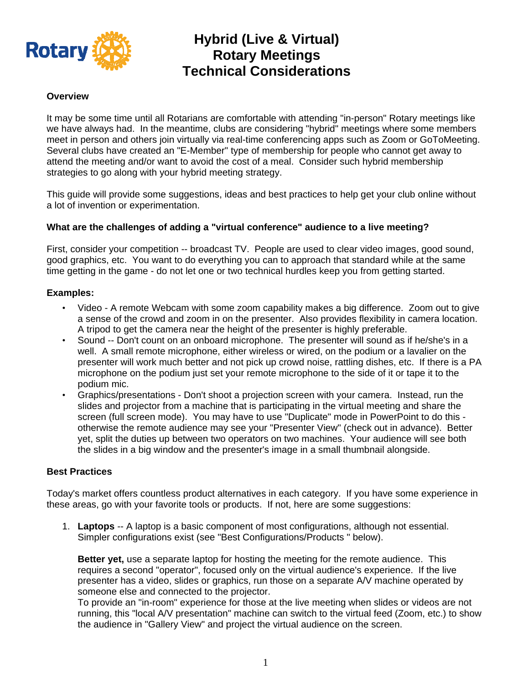

# **Hybrid (Live & Virtual) Rotary Meetings Technical Considerations**

#### **Overview**

It may be some time until all Rotarians are comfortable with attending "in-person" Rotary meetings like we have always had. In the meantime, clubs are considering "hybrid" meetings where some members meet in person and others join virtually via real-time conferencing apps such as Zoom or GoToMeeting. Several clubs have created an "E-Member" type of membership for people who cannot get away to attend the meeting and/or want to avoid the cost of a meal. Consider such hybrid membership strategies to go along with your hybrid meeting strategy.

This guide will provide some suggestions, ideas and best practices to help get your club online without a lot of invention or experimentation.

#### **What are the challenges of adding a "virtual conference" audience to a live meeting?**

First, consider your competition -- broadcast TV. People are used to clear video images, good sound, good graphics, etc. You want to do everything you can to approach that standard while at the same time getting in the game - do not let one or two technical hurdles keep you from getting started.

#### **Examples:**

- Video A remote Webcam with some zoom capability makes a big difference. Zoom out to give a sense of the crowd and zoom in on the presenter. Also provides flexibility in camera location. A tripod to get the camera near the height of the presenter is highly preferable.
- Sound -- Don't count on an onboard microphone. The presenter will sound as if he/she's in a well. A small remote microphone, either wireless or wired, on the podium or a lavalier on the presenter will work much better and not pick up crowd noise, rattling dishes, etc. If there is a PA microphone on the podium just set your remote microphone to the side of it or tape it to the podium mic.
- Graphics/presentations Don't shoot a projection screen with your camera. Instead, run the slides and projector from a machine that is participating in the virtual meeting and share the screen (full screen mode). You may have to use "Duplicate" mode in PowerPoint to do this otherwise the remote audience may see your "Presenter View" (check out in advance). Better yet, split the duties up between two operators on two machines. Your audience will see both the slides in a big window and the presenter's image in a small thumbnail alongside.

#### **Best Practices**

Today's market offers countless product alternatives in each category. If you have some experience in these areas, go with your favorite tools or products. If not, here are some suggestions:

1. **Laptops** -- A laptop is a basic component of most configurations, although not essential. Simpler configurations exist (see "Best Configurations/Products " below).

**Better yet,** use a separate laptop for hosting the meeting for the remote audience. This requires a second "operator", focused only on the virtual audience's experience. If the live presenter has a video, slides or graphics, run those on a separate A/V machine operated by someone else and connected to the projector.

To provide an "in-room" experience for those at the live meeting when slides or videos are not running, this "local A/V presentation" machine can switch to the virtual feed (Zoom, etc.) to show the audience in "Gallery View" and project the virtual audience on the screen.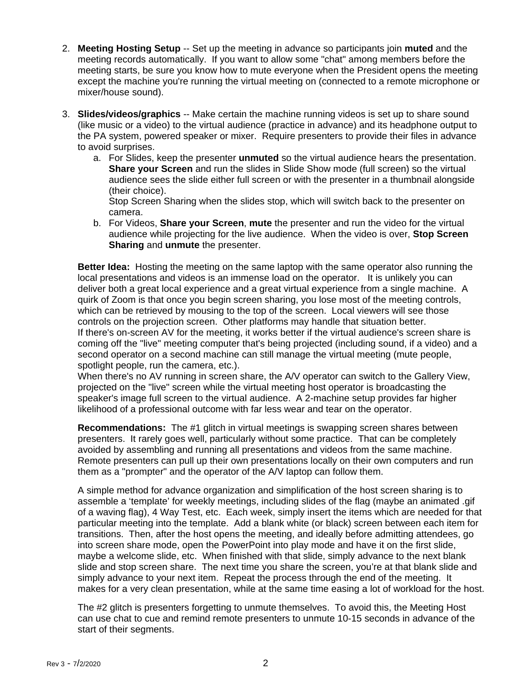- 2. **Meeting Hosting Setup** -- Set up the meeting in advance so participants join **muted** and the meeting records automatically. If you want to allow some "chat" among members before the meeting starts, be sure you know how to mute everyone when the President opens the meeting except the machine you're running the virtual meeting on (connected to a remote microphone or mixer/house sound).
- 3. **Slides/videos/graphics** -- Make certain the machine running videos is set up to share sound (like music or a video) to the virtual audience (practice in advance) and its headphone output to the PA system, powered speaker or mixer. Require presenters to provide their files in advance to avoid surprises.
	- a. For Slides, keep the presenter **unmuted** so the virtual audience hears the presentation. **Share your Screen** and run the slides in Slide Show mode (full screen) so the virtual audience sees the slide either full screen or with the presenter in a thumbnail alongside (their choice).

Stop Screen Sharing when the slides stop, which will switch back to the presenter on camera.

b. For Videos, **Share your Screen**, **mute** the presenter and run the video for the virtual audience while projecting for the live audience. When the video is over, **Stop Screen Sharing** and **unmute** the presenter.

**Better Idea:** Hosting the meeting on the same laptop with the same operator also running the local presentations and videos is an immense load on the operator. It is unlikely you can deliver both a great local experience and a great virtual experience from a single machine. A quirk of Zoom is that once you begin screen sharing, you lose most of the meeting controls, which can be retrieved by mousing to the top of the screen. Local viewers will see those controls on the projection screen. Other platforms may handle that situation better. If there's on-screen AV for the meeting, it works better if the virtual audience's screen share is coming off the "live" meeting computer that's being projected (including sound, if a video) and a second operator on a second machine can still manage the virtual meeting (mute people, spotlight people, run the camera, etc.).

When there's no AV running in screen share, the A/V operator can switch to the Gallery View, projected on the "live" screen while the virtual meeting host operator is broadcasting the speaker's image full screen to the virtual audience. A 2-machine setup provides far higher likelihood of a professional outcome with far less wear and tear on the operator.

**Recommendations:** The #1 glitch in virtual meetings is swapping screen shares between presenters. It rarely goes well, particularly without some practice. That can be completely avoided by assembling and running all presentations and videos from the same machine. Remote presenters can pull up their own presentations locally on their own computers and run them as a "prompter" and the operator of the A/V laptop can follow them.

A simple method for advance organization and simplification of the host screen sharing is to assemble a 'template' for weekly meetings, including slides of the flag (maybe an animated .gif of a waving flag), 4 Way Test, etc. Each week, simply insert the items which are needed for that particular meeting into the template. Add a blank white (or black) screen between each item for transitions. Then, after the host opens the meeting, and ideally before admitting attendees, go into screen share mode, open the PowerPoint into play mode and have it on the first slide, maybe a welcome slide, etc. When finished with that slide, simply advance to the next blank slide and stop screen share. The next time you share the screen, you're at that blank slide and simply advance to your next item. Repeat the process through the end of the meeting. It makes for a very clean presentation, while at the same time easing a lot of workload for the host.

The #2 glitch is presenters forgetting to unmute themselves. To avoid this, the Meeting Host can use chat to cue and remind remote presenters to unmute 10-15 seconds in advance of the start of their segments.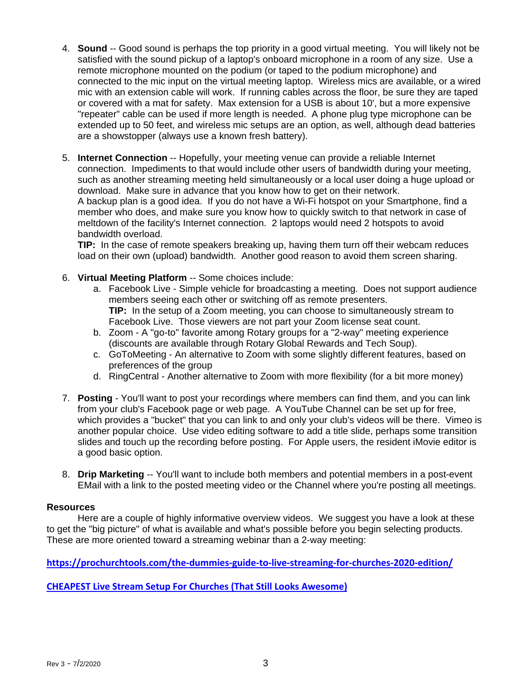- 4. **Sound** -- Good sound is perhaps the top priority in a good virtual meeting. You will likely not be satisfied with the sound pickup of a laptop's onboard microphone in a room of any size. Use a remote microphone mounted on the podium (or taped to the podium microphone) and connected to the mic input on the virtual meeting laptop. Wireless mics are available, or a wired mic with an extension cable will work. If running cables across the floor, be sure they are taped or covered with a mat for safety. Max extension for a USB is about 10', but a more expensive "repeater" cable can be used if more length is needed. A phone plug type microphone can be extended up to 50 feet, and wireless mic setups are an option, as well, although dead batteries are a showstopper (always use a known fresh battery).
- 5. **Internet Connection** -- Hopefully, your meeting venue can provide a reliable Internet connection. Impediments to that would include other users of bandwidth during your meeting, such as another streaming meeting held simultaneously or a local user doing a huge upload or download. Make sure in advance that you know how to get on their network. A backup plan is a good idea. If you do not have a Wi-Fi hotspot on your Smartphone, find a member who does, and make sure you know how to quickly switch to that network in case of meltdown of the facility's Internet connection. 2 laptops would need 2 hotspots to avoid bandwidth overload.

**TIP:** In the case of remote speakers breaking up, having them turn off their webcam reduces load on their own (upload) bandwidth. Another good reason to avoid them screen sharing.

- 6. **Virtual Meeting Platform** -- Some choices include:
	- a. Facebook Live Simple vehicle for broadcasting a meeting. Does not support audience members seeing each other or switching off as remote presenters. **TIP:** In the setup of a Zoom meeting, you can choose to simultaneously stream to Facebook Live. Those viewers are not part your Zoom license seat count.
	- b. Zoom A "go-to" favorite among Rotary groups for a "2-way" meeting experience (discounts are available through Rotary Global Rewards and Tech Soup).
	- c. GoToMeeting An alternative to Zoom with some slightly different features, based on preferences of the group
	- d. RingCentral Another alternative to Zoom with more flexibility (for a bit more money)
- 7. **Posting** You'll want to post your recordings where members can find them, and you can link from your club's Facebook page or web page. A YouTube Channel can be set up for free, which provides a "bucket" that you can link to and only your club's videos will be there. Vimeo is another popular choice. Use video editing software to add a title slide, perhaps some transition slides and touch up the recording before posting. For Apple users, the resident iMovie editor is a good basic option.
- 8. **Drip Marketing** -- You'll want to include both members and potential members in a post-event EMail with a link to the posted meeting video or the Channel where you're posting all meetings.

#### **Resources**

 Here are a couple of highly informative overview videos. We suggest you have a look at these to get the "big picture" of what is available and what's possible before you begin selecting products. These are more oriented toward a streaming webinar than a 2-way meeting:

**[https://prochurchtools.com/the](https://prochurchtools.com/the%E2%80%90dummies%E2%80%90guide%E2%80%90to%E2%80%90live%E2%80%90streaming%E2%80%90for%E2%80%90churches%E2%80%902020%E2%80%90edition/)‐dummies‐guide‐to‐live‐streaming‐for‐churches‐2020‐edition/**

**CHEAPEST Live Stream Setup For Churches (That Still Looks [Awesome\)](https://el2.convertkit-mail.com/c/5qud46gmngi7hlvlz4f6/48hvh7u28o0zq8/aHR0cHM6Ly9wcm9jaHVyLmNoLzM3R042Mnc=)**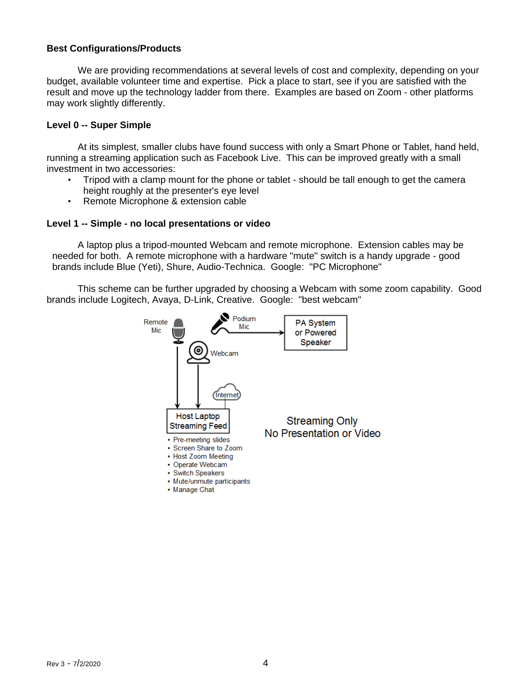#### **Best Configurations/Products**

We are providing recommendations at several levels of cost and complexity, depending on your budget, available volunteer time and expertise. Pick a place to start, see if you are satisfied with the result and move up the technology ladder from there. Examples are based on Zoom - other platforms may work slightly differently.

#### **Level 0 -- Super Simple**

 At its simplest, smaller clubs have found success with only a Smart Phone or Tablet, hand held, running a streaming application such as Facebook Live. This can be improved greatly with a small investment in two accessories:

- Tripod with a clamp mount for the phone or tablet should be tall enough to get the camera height roughly at the presenter's eye level
- Remote Microphone & extension cable

#### **Level 1 -- Simple - no local presentations or video**

A laptop plus a tripod-mounted Webcam and remote microphone. Extension cables may be needed for both. A remote microphone with a hardware "mute" switch is a handy upgrade - good brands include Blue (Yeti), Shure, Audio-Technica. Google: "PC Microphone"

 This scheme can be further upgraded by choosing a Webcam with some zoom capability. Good brands include Logitech, Avaya, D-Link, Creative. Google: "best webcam"

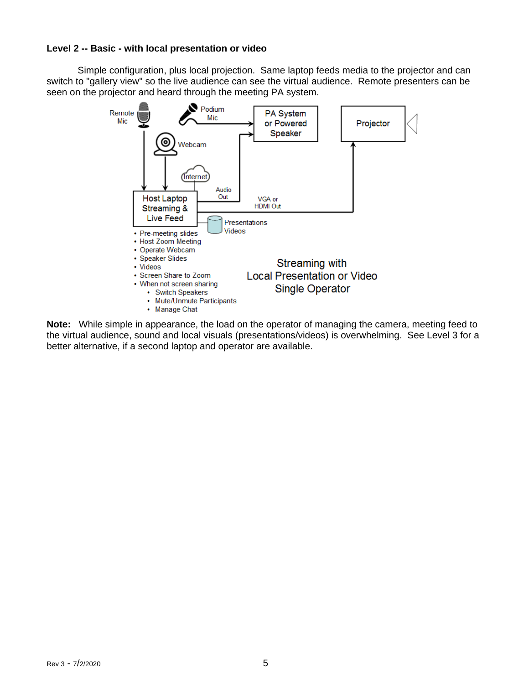## **Level 2 -- Basic - with local presentation or video**

Simple configuration, plus local projection. Same laptop feeds media to the projector and can switch to "gallery view" so the live audience can see the virtual audience. Remote presenters can be seen on the projector and heard through the meeting PA system.



**Note:** While simple in appearance, the load on the operator of managing the camera, meeting feed to the virtual audience, sound and local visuals (presentations/videos) is overwhelming. See Level 3 for a better alternative, if a second laptop and operator are available.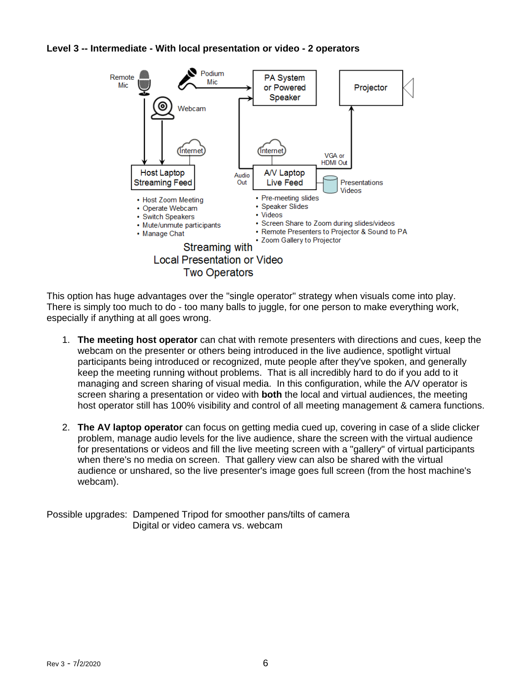## **Level 3 -- Intermediate - With local presentation or video - 2 operators**



This option has huge advantages over the "single operator" strategy when visuals come into play. There is simply too much to do - too many balls to juggle, for one person to make everything work, especially if anything at all goes wrong.

- 1. **The meeting host operator** can chat with remote presenters with directions and cues, keep the webcam on the presenter or others being introduced in the live audience, spotlight virtual participants being introduced or recognized, mute people after they've spoken, and generally keep the meeting running without problems. That is all incredibly hard to do if you add to it managing and screen sharing of visual media. In this configuration, while the A/V operator is screen sharing a presentation or video with **both** the local and virtual audiences, the meeting host operator still has 100% visibility and control of all meeting management & camera functions.
- 2. **The AV laptop operator** can focus on getting media cued up, covering in case of a slide clicker problem, manage audio levels for the live audience, share the screen with the virtual audience for presentations or videos and fill the live meeting screen with a "gallery" of virtual participants when there's no media on screen. That gallery view can also be shared with the virtual audience or unshared, so the live presenter's image goes full screen (from the host machine's webcam).

Possible upgrades: Dampened Tripod for smoother pans/tilts of camera Digital or video camera vs. webcam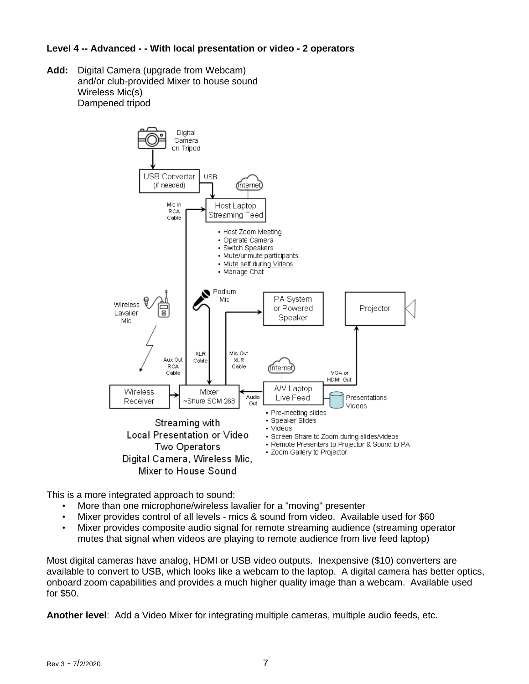## **Level 4 -- Advanced - - With local presentation or video - 2 operators**

**Add:** Digital Camera (upgrade from Webcam) and/or club-provided Mixer to house sound Wireless Mic(s) Dampened tripod



This is a more integrated approach to sound:

- More than one microphone/wireless lavalier for a "moving" presenter
- Mixer provides control of all levels mics & sound from video. Available used for \$60
- Mixer provides composite audio signal for remote streaming audience (streaming operator mutes that signal when videos are playing to remote audience from live feed laptop)

Most digital cameras have analog, HDMI or USB video outputs. Inexpensive (\$10) converters are available to convert to USB, which looks like a webcam to the laptop. A digital camera has better optics, onboard zoom capabilities and provides a much higher quality image than a webcam. Available used for \$50.

**Another level**: Add a Video Mixer for integrating multiple cameras, multiple audio feeds, etc.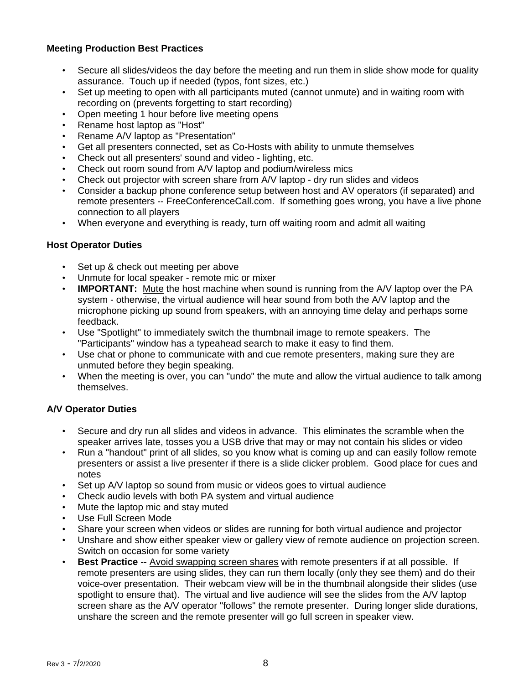## **Meeting Production Best Practices**

- Secure all slides/videos the day before the meeting and run them in slide show mode for quality assurance. Touch up if needed (typos, font sizes, etc.)
- Set up meeting to open with all participants muted (cannot unmute) and in waiting room with recording on (prevents forgetting to start recording)
- Open meeting 1 hour before live meeting opens
- Rename host laptop as "Host"
- Rename A/V laptop as "Presentation"
- Get all presenters connected, set as Co-Hosts with ability to unmute themselves
- Check out all presenters' sound and video lighting, etc.
- Check out room sound from A/V laptop and podium/wireless mics
- Check out projector with screen share from A/V laptop dry run slides and videos
- Consider a backup phone conference setup between host and AV operators (if separated) and remote presenters -- FreeConferenceCall.com. If something goes wrong, you have a live phone connection to all players
- When everyone and everything is ready, turn off waiting room and admit all waiting

## **Host Operator Duties**

- Set up & check out meeting per above
- Unmute for local speaker remote mic or mixer
- **IMPORTANT:** Mute the host machine when sound is running from the A/V laptop over the PA system - otherwise, the virtual audience will hear sound from both the A/V laptop and the microphone picking up sound from speakers, with an annoying time delay and perhaps some feedback.
- Use "Spotlight" to immediately switch the thumbnail image to remote speakers. The "Participants" window has a typeahead search to make it easy to find them.
- Use chat or phone to communicate with and cue remote presenters, making sure they are unmuted before they begin speaking.
- When the meeting is over, you can "undo" the mute and allow the virtual audience to talk among themselves.

## **A/V Operator Duties**

- Secure and dry run all slides and videos in advance. This eliminates the scramble when the speaker arrives late, tosses you a USB drive that may or may not contain his slides or video
- Run a "handout" print of all slides, so you know what is coming up and can easily follow remote presenters or assist a live presenter if there is a slide clicker problem. Good place for cues and notes
- Set up A/V laptop so sound from music or videos goes to virtual audience
- Check audio levels with both PA system and virtual audience
- Mute the laptop mic and stay muted
- Use Full Screen Mode
- Share your screen when videos or slides are running for both virtual audience and projector
- Unshare and show either speaker view or gallery view of remote audience on projection screen. Switch on occasion for some variety
- **Best Practice** -- Avoid swapping screen shares with remote presenters if at all possible. If remote presenters are using slides, they can run them locally (only they see them) and do their voice-over presentation. Their webcam view will be in the thumbnail alongside their slides (use spotlight to ensure that). The virtual and live audience will see the slides from the A/V laptop screen share as the A/V operator "follows" the remote presenter. During longer slide durations, unshare the screen and the remote presenter will go full screen in speaker view.